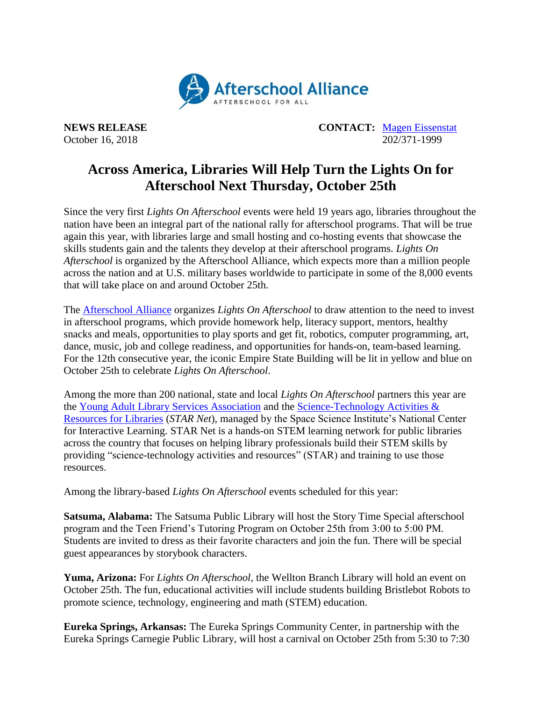

**NEWS RELEASE CONTACT:** [Magen Eissenstat](mailto:magen@prsolutionsdc.com) October 16, 2018 202/371-1999

## **Across America, Libraries Will Help Turn the Lights On for Afterschool Next Thursday, October 25th**

Since the very first *Lights On Afterschool* events were held 19 years ago, libraries throughout the nation have been an integral part of the national rally for afterschool programs. That will be true again this year, with libraries large and small hosting and co-hosting events that showcase the skills students gain and the talents they develop at their afterschool programs. *Lights On Afterschool* is organized by the Afterschool Alliance, which expects more than a million people across the nation and at U.S. military bases worldwide to participate in some of the 8,000 events that will take place on and around October 25th.

The [Afterschool Alliance](http://www.afterschoolalliance.org/) organizes *Lights On Afterschool* to draw attention to the need to invest in afterschool programs, which provide homework help, literacy support, mentors, healthy snacks and meals, opportunities to play sports and get fit, robotics, computer programming, art, dance, music, job and college readiness, and opportunities for hands-on, team-based learning. For the 12th consecutive year, the iconic Empire State Building will be lit in yellow and blue on October 25th to celebrate *Lights On Afterschool*.

Among the more than 200 national, state and local *Lights On Afterschool* partners this year are the [Young Adult Library Services Association](http://www.ala.org/yalsa/) and the [Science-Technology Activities &](https://www.starnetlibraries.org/)  [Resources for Libraries](https://www.starnetlibraries.org/) (*STAR Net*), managed by the Space Science Institute's National Center for Interactive Learning. STAR Net is a hands-on STEM learning network for public libraries across the country that focuses on helping library professionals build their STEM skills by providing "science-technology activities and resources" (STAR) and training to use those resources.

Among the library-based *Lights On Afterschool* events scheduled for this year:

**Satsuma, Alabama:** The Satsuma Public Library will host the Story Time Special afterschool program and the Teen Friend's Tutoring Program on October 25th from 3:00 to 5:00 PM*.*  Students are invited to dress as their favorite characters and join the fun. There will be special guest appearances by storybook characters.

**Yuma, Arizona:** For *Lights On Afterschool*, the Wellton Branch Library will hold an event on October 25th. The fun, educational activities will include students building Bristlebot Robots to promote science, technology, engineering and math (STEM) education.

**Eureka Springs, Arkansas:** The Eureka Springs Community Center, in partnership with the Eureka Springs Carnegie Public Library, will host a carnival on October 25th from 5:30 to 7:30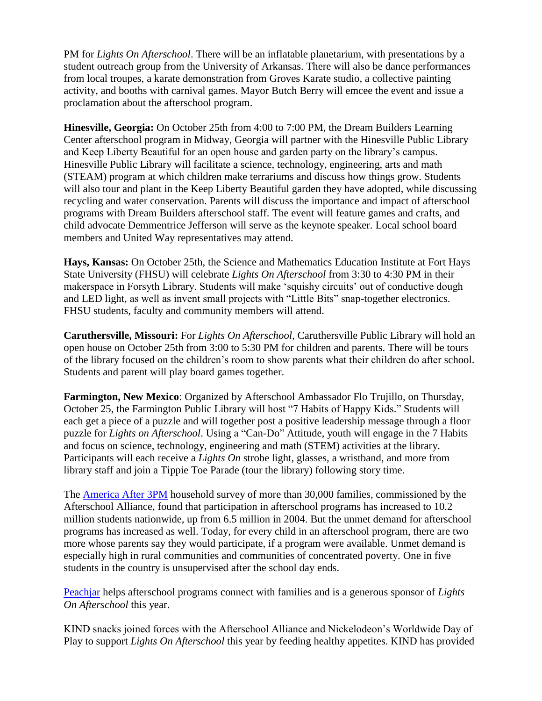PM for *Lights On Afterschool*. There will be an inflatable planetarium, with presentations by a student outreach group from the University of Arkansas. There will also be dance performances from local troupes, a karate demonstration from Groves Karate studio, a collective painting activity, and booths with carnival games. Mayor Butch Berry will emcee the event and issue a proclamation about the afterschool program.

**Hinesville, Georgia:** On October 25th from 4:00 to 7:00 PM, the Dream Builders Learning Center afterschool program in Midway, Georgia will partner with the Hinesville Public Library and Keep Liberty Beautiful for an open house and garden party on the library's campus. Hinesville Public Library will facilitate a science, technology, engineering, arts and math (STEAM) program at which children make terrariums and discuss how things grow. Students will also tour and plant in the Keep Liberty Beautiful garden they have adopted, while discussing recycling and water conservation. Parents will discuss the importance and impact of afterschool programs with Dream Builders afterschool staff. The event will feature games and crafts, and child advocate Demmentrice Jefferson will serve as the keynote speaker. Local school board members and United Way representatives may attend.

**Hays, Kansas:** On October 25th, the Science and Mathematics Education Institute at Fort Hays State University (FHSU) will celebrate *Lights On Afterschool* from 3:30 to 4:30 PM in their makerspace in Forsyth Library. Students will make 'squishy circuits' out of conductive dough and LED light, as well as invent small projects with "Little Bits" snap-together electronics. FHSU students, faculty and community members will attend.

**Caruthersville, Missouri:** For *Lights On Afterschool*, Caruthersville Public Library will hold an open house on October 25th from 3:00 to 5:30 PM for children and parents. There will be tours of the library focused on the children's room to show parents what their children do after school. Students and parent will play board games together.

**Farmington, New Mexico**: Organized by Afterschool Ambassador Flo Trujillo, on Thursday, October 25, the Farmington Public Library will host "7 Habits of Happy Kids." Students will each get a piece of a puzzle and will together post a positive leadership message through a floor puzzle for *Lights on Afterschool*. Using a "Can-Do" Attitude, youth will engage in the 7 Habits and focus on science, technology, engineering and math (STEM) activities at the library. Participants will each receive a *Lights On* strobe light, glasses, a wristband, and more from library staff and join a Tippie Toe Parade (tour the library) following story time.

The [America After 3PM](http://www.afterschoolalliance.org/AA3PM/) household survey of more than 30,000 families, commissioned by the Afterschool Alliance, found that participation in afterschool programs has increased to 10.2 million students nationwide, up from 6.5 million in 2004. But the unmet demand for afterschool programs has increased as well. Today, for every child in an afterschool program, there are two more whose parents say they would participate, if a program were available. Unmet demand is especially high in rural communities and communities of concentrated poverty. One in five students in the country is unsupervised after the school day ends.

[Peachjar](https://peachjar.com/?utm_source=afterschool-alliance&utm_medium=press-release&utm_campaign=Afterschool%20Alliance%20Press%20Release%20Homepage) helps afterschool programs connect with families and is a generous sponsor of *Lights On Afterschool* this year.

KIND snacks joined forces with the Afterschool Alliance and Nickelodeon's Worldwide Day of Play to support *Lights On Afterschool* this year by feeding healthy appetites. KIND has provided